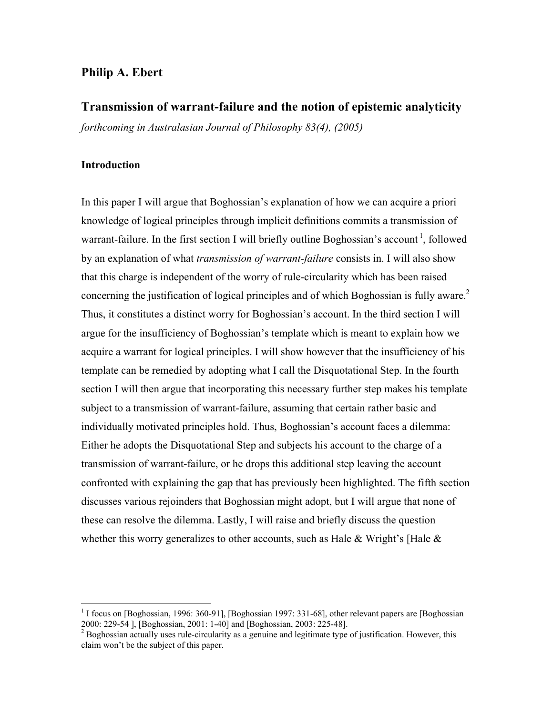# Philip A. Ebert

# Transmission of warrant-failure and the notion of epistemic analyticity

*forthcoming in Australasian Journal of Philosophy 83(4), (2005)*

# Introduction

In this paper I will argue that Boghossian's explanation of how we can acquire a priori knowledge of logical principles through implicit definitions commits a transmission of warrant-failure. In the first section I will briefly outline Boghossian's account<sup>1</sup>, followed by an explanation of what *transmission of warrant-failure* consists in. I will also show that this charge is independent of the worry of rule-circularity which has been raised concerning the justification of logical principles and of which Boghossian is fully aware.<sup>2</sup> Thus, it constitutes a distinct worry for Boghossian's account. In the third section I will argue for the insufficiency of Boghossian's template which is meant to explain how we acquire a warrant for logical principles. I will show however that the insufficiency of his template can be remedied by adopting what I call the Disquotational Step. In the fourth section I will then argue that incorporating this necessary further step makes his template subject to a transmission of warrant-failure, assuming that certain rather basic and individually motivated principles hold. Thus, Boghossian's account faces a dilemma: Either he adopts the Disquotational Step and subjects his account to the charge of a transmission of warrant-failure, or he drops this additional step leaving the account confronted with explaining the gap that has previously been highlighted. The fifth section discusses various rejoinders that Boghossian might adopt, but I will argue that none of these can resolve the dilemma. Lastly, I will raise and briefly discuss the question whether this worry generalizes to other accounts, such as Hale & Wright's [Hale  $\&$ 

 $\frac{1}{1}$  $<sup>1</sup>$  I focus on [Boghossian, 1996: 360-91], [Boghossian 1997: 331-68], other relevant papers are [Boghossian]</sup> 2000: 229-54 ], [Boghossian, 2001: 1-40] and [Boghossian, 2003: 225-48]. <sup>2</sup>

<sup>&</sup>lt;sup>2</sup> Boghossian actually uses rule-circularity as a genuine and legitimate type of justification. However, this claim won't be the subject of this paper.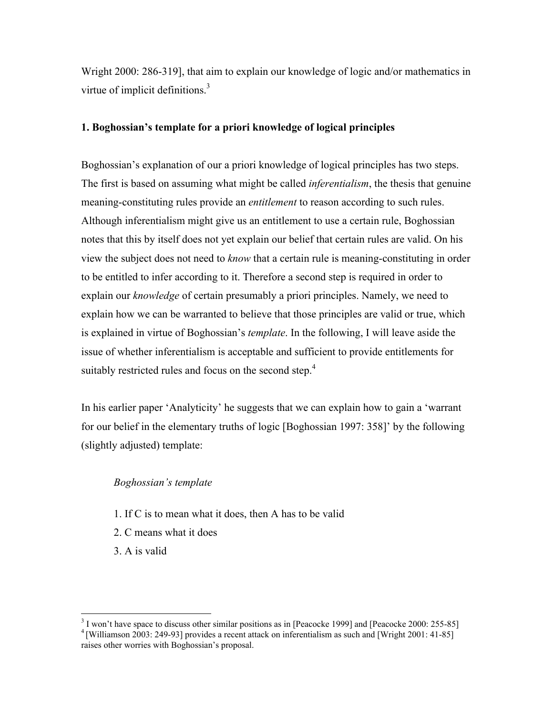Wright 2000: 286-319], that aim to explain our knowledge of logic and/or mathematics in virtue of implicit definitions.<sup>3</sup>

## 1. Boghossian's template for a priori knowledge of logical principles

Boghossian's explanation of our a priori knowledge of logical principles has two steps. The first is based on assuming what might be called *inferentialism*, the thesis that genuine meaning-constituting rules provide an *entitlement* to reason according to such rules. Although inferentialism might give us an entitlement to use a certain rule, Boghossian notes that this by itself does not yet explain our belief that certain rules are valid. On his view the subject does not need to *know* that a certain rule is meaning-constituting in order to be entitled to infer according to it. Therefore a second step is required in order to explain our *knowledge* of certain presumably a priori principles. Namely, we need to explain how we can be warranted to believe that those principles are valid or true, which is explained in virtue of Boghossian's *template*. In the following, I will leave aside the issue of whether inferentialism is acceptable and sufficient to provide entitlements for suitably restricted rules and focus on the second step.<sup>4</sup>

In his earlier paper 'Analyticity' he suggests that we can explain how to gain a 'warrant for our belief in the elementary truths of logic [Boghossian 1997: 358]' by the following (slightly adjusted) template:

## *Boghossian's template*

- 1. If C is to mean what it does, then A has to be valid
- 2. C means what it does
- 3. A is valid

<sup>&</sup>lt;sup>2</sup><br>3  $3$  I won't have space to discuss other similar positions as in [Peacocke 1999] and [Peacocke 2000: 255-85]  $4$  [Williamson 2003: 249-93] provides a recent attack on inferentialism as such and [Wright 2001: 41-85] raises other worries with Boghossian's proposal.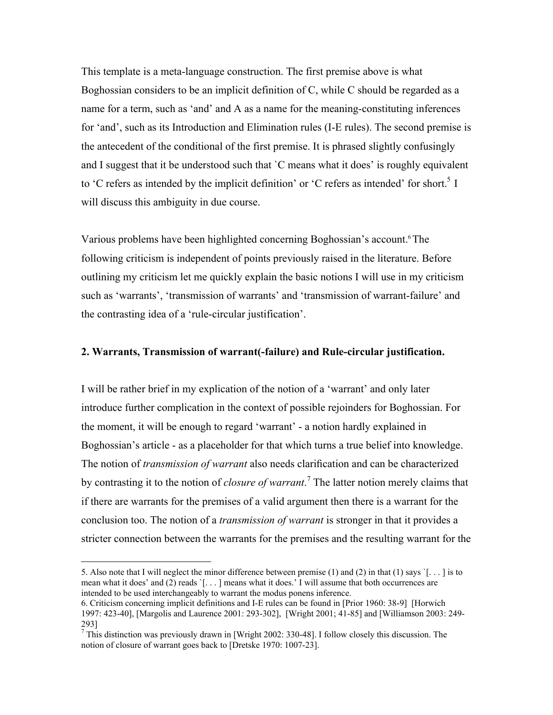This template is a meta-language construction. The first premise above is what Boghossian considers to be an implicit definition of C, while C should be regarded as a name for a term, such as 'and' and A as a name for the meaning-constituting inferences for 'and', such as its Introduction and Elimination rules (I-E rules). The second premise is the antecedent of the conditional of the first premise. It is phrased slightly confusingly and I suggest that it be understood such that `C means what it does' is roughly equivalent to 'C refers as intended by the implicit definition' or 'C refers as intended' for short.<sup>5</sup> I will discuss this ambiguity in due course.

Various problems have been highlighted concerning Boghossian's account.<sup>6</sup>The following criticism is independent of points previously raised in the literature. Before outlining my criticism let me quickly explain the basic notions I will use in my criticism such as 'warrants', 'transmission of warrants' and 'transmission of warrant-failure' and the contrasting idea of a 'rule-circular justification'.

## 2. Warrants, Transmission of warrant(-failure) and Rule-circular justification.

I will be rather brief in my explication of the notion of a 'warrant' and only later introduce further complication in the context of possible rejoinders for Boghossian. For the moment, it will be enough to regard 'warrant' - a notion hardly explained in Boghossian's article - as a placeholder for that which turns a true belief into knowledge. The notion of *transmission of warrant* also needs clarification and can be characterized by contrasting it to the notion of *closure of warrant*. 7 The latter notion merely claims that if there are warrants for the premises of a valid argument then there is a warrant for the conclusion too. The notion of a *transmission of warrant* is stronger in that it provides a stricter connection between the warrants for the premises and the resulting warrant for the

 $\overline{a}$ 

<sup>5.</sup> Also note that I will neglect the minor difference between premise (1) and (2) in that (1) says  $\lceil \cdot \rceil$ ... ] is to mean what it does' and (2) reads `[...] means what it does.' I will assume that both occurrences are intended to be used interchangeably to warrant the modus ponens inference.

<sup>6.</sup> Criticism concerning implicit definitions and I-E rules can be found in [Prior 1960: 38-9] [Horwich 1997: 423-40], [Margolis and Laurence 2001: 293-302], [Wright 2001; 41-85] and [Williamson 2003: 249- 293]

 $<sup>7</sup>$  This distinction was previously drawn in [Wright 2002: 330-48]. I follow closely this discussion. The</sup> notion of closure of warrant goes back to [Dretske 1970: 1007-23].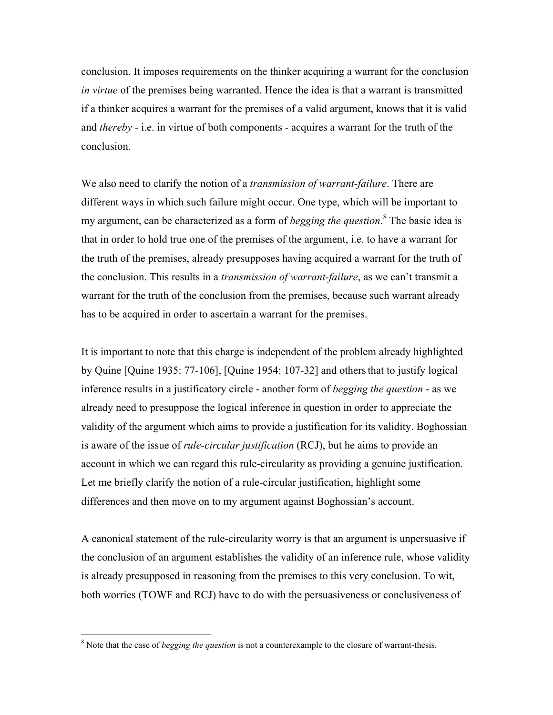conclusion. It imposes requirements on the thinker acquiring a warrant for the conclusion *in virtue* of the premises being warranted. Hence the idea is that a warrant is transmitted if a thinker acquires a warrant for the premises of a valid argument, knows that it is valid and *thereby* - i.e. in virtue of both components - acquires a warrant for the truth of the conclusion.

We also need to clarify the notion of a *transmission of warrant-failure*. There are different ways in which such failure might occur. One type, which will be important to my argument, can be characterized as a form of *begging the question*. 8 The basic idea is that in order to hold true one of the premises of the argument, i.e. to have a warrant for the truth of the premises, already presupposes having acquired a warrant for the truth of the conclusion. This results in a *transmission of warrant-failure*, as we can't transmit a warrant for the truth of the conclusion from the premises, because such warrant already has to be acquired in order to ascertain a warrant for the premises.

It is important to note that this charge is independent of the problem already highlighted by Quine [Quine 1935: 77-106], [Quine 1954: 107-32] and othersthat to justify logical inference results in a justificatory circle - another form of *begging the question* - as we already need to presuppose the logical inference in question in order to appreciate the validity of the argument which aims to provide a justification for its validity. Boghossian is aware of the issue of *rule-circular justification* (RCJ), but he aims to provide an account in which we can regard this rule-circularity as providing a genuine justification. Let me briefly clarify the notion of a rule-circular justification, highlight some differences and then move on to my argument against Boghossian's account.

A canonical statement of the rule-circularity worry is that an argument is unpersuasive if the conclusion of an argument establishes the validity of an inference rule, whose validity is already presupposed in reasoning from the premises to this very conclusion. To wit, both worries (TOWF and RCJ) have to do with the persuasiveness or conclusiveness of

8 <sup>8</sup> Note that the case of *begging the question* is not a counterexample to the closure of warrant-thesis.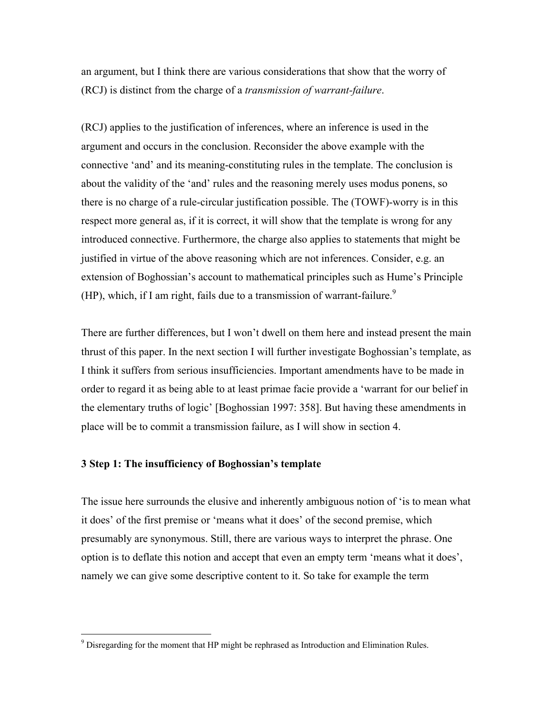an argument, but I think there are various considerations that show that the worry of (RCJ) is distinct from the charge of a *transmission of warrant-failure*.

(RCJ) applies to the justification of inferences, where an inference is used in the argument and occurs in the conclusion. Reconsider the above example with the connective 'and' and its meaning-constituting rules in the template. The conclusion is about the validity of the 'and' rules and the reasoning merely uses modus ponens, so there is no charge of a rule-circular justification possible. The (TOWF)-worry is in this respect more general as, if it is correct, it will show that the template is wrong for any introduced connective. Furthermore, the charge also applies to statements that might be justified in virtue of the above reasoning which are not inferences. Consider, e.g. an extension of Boghossian's account to mathematical principles such as Hume's Principle (HP), which, if I am right, fails due to a transmission of warrant-failure.<sup>9</sup>

There are further differences, but I won't dwell on them here and instead present the main thrust of this paper. In the next section I will further investigate Boghossian's template, as I think it suffers from serious insufficiencies. Important amendments have to be made in order to regard it as being able to at least primae facie provide a 'warrant for our belief in the elementary truths of logic' [Boghossian 1997: 358]. But having these amendments in place will be to commit a transmission failure, as I will show in section 4.

# 3 Step 1: The insufficiency of Boghossian's template

The issue here surrounds the elusive and inherently ambiguous notion of 'is to mean what it does' of the first premise or 'means what it does' of the second premise, which presumably are synonymous. Still, there are various ways to interpret the phrase. One option is to deflate this notion and accept that even an empty term 'means what it does', namely we can give some descriptive content to it. So take for example the term

<sup>-&</sup>lt;br>9  $\degree$  Disregarding for the moment that HP might be rephrased as Introduction and Elimination Rules.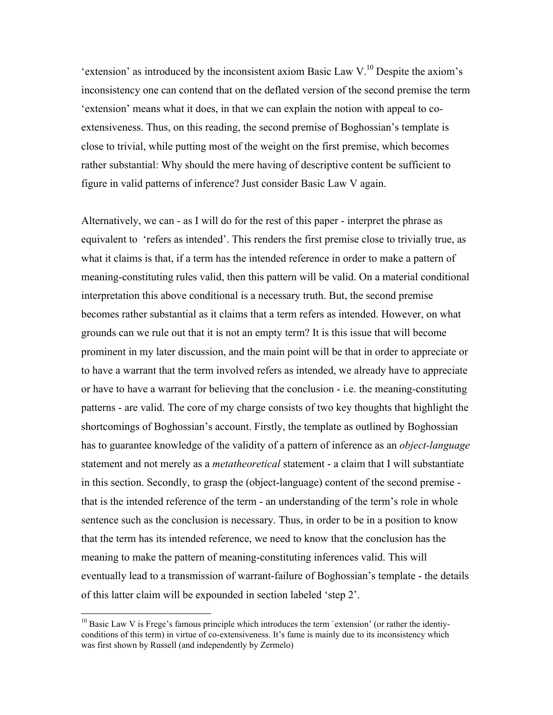'extension' as introduced by the inconsistent axiom Basic Law V.<sup>10</sup> Despite the axiom's inconsistency one can contend that on the deflated version of the second premise the term 'extension' means what it does, in that we can explain the notion with appeal to coextensiveness. Thus, on this reading, the second premise of Boghossian's template is close to trivial, while putting most of the weight on the first premise, which becomes rather substantial: Why should the mere having of descriptive content be sufficient to figure in valid patterns of inference? Just consider Basic Law V again.

Alternatively, we can - as I will do for the rest of this paper - interpret the phrase as equivalent to 'refers as intended'. This renders the first premise close to trivially true, as what it claims is that, if a term has the intended reference in order to make a pattern of meaning-constituting rules valid, then this pattern will be valid. On a material conditional interpretation this above conditional is a necessary truth. But, the second premise becomes rather substantial as it claims that a term refers as intended. However, on what grounds can we rule out that it is not an empty term? It is this issue that will become prominent in my later discussion, and the main point will be that in order to appreciate or to have a warrant that the term involved refers as intended, we already have to appreciate or have to have a warrant for believing that the conclusion - i.e. the meaning-constituting patterns - are valid. The core of my charge consists of two key thoughts that highlight the shortcomings of Boghossian's account. Firstly, the template as outlined by Boghossian has to guarantee knowledge of the validity of a pattern of inference as an *object-language* statement and not merely as a *metatheoretical* statement - a claim that I will substantiate in this section. Secondly, to grasp the (object-language) content of the second premise that is the intended reference of the term - an understanding of the term's role in whole sentence such as the conclusion is necessary. Thus, in order to be in a position to know that the term has its intended reference, we need to know that the conclusion has the meaning to make the pattern of meaning-constituting inferences valid. This will eventually lead to a transmission of warrant-failure of Boghossian's template - the details of this latter claim will be expounded in section labeled 'step 2'.

<sup>&</sup>lt;sup>10</sup> Basic Law V is Frege's famous principle which introduces the term `extension' (or rather the identiyconditions of this term) in virtue of co-extensiveness. It's fame is mainly due to its inconsistency which was first shown by Russell (and independently by Zermelo)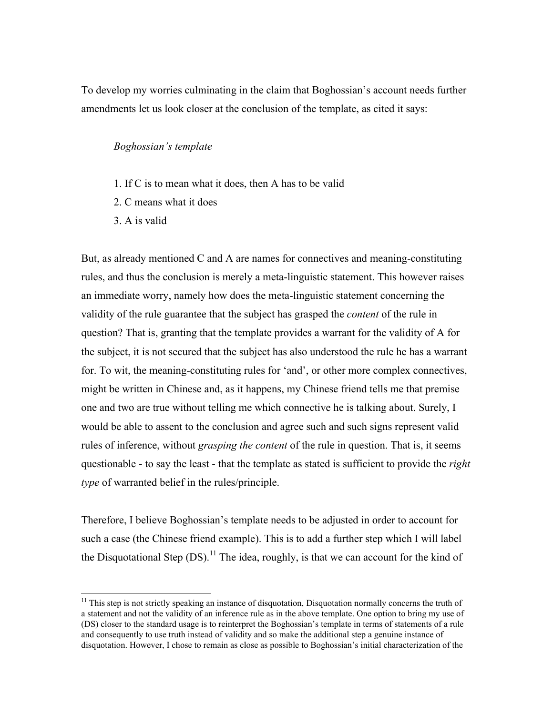To develop my worries culminating in the claim that Boghossian's account needs further amendments let us look closer at the conclusion of the template, as cited it says:

## *Boghossian's template*

- 1. If C is to mean what it does, then A has to be valid
- 2. C means what it does
- 3. A is valid

But, as already mentioned C and A are names for connectives and meaning-constituting rules, and thus the conclusion is merely a meta-linguistic statement. This however raises an immediate worry, namely how does the meta-linguistic statement concerning the validity of the rule guarantee that the subject has grasped the *content* of the rule in question? That is, granting that the template provides a warrant for the validity of A for the subject, it is not secured that the subject has also understood the rule he has a warrant for. To wit, the meaning-constituting rules for 'and', or other more complex connectives, might be written in Chinese and, as it happens, my Chinese friend tells me that premise one and two are true without telling me which connective he is talking about. Surely, I would be able to assent to the conclusion and agree such and such signs represent valid rules of inference, without *grasping the content* of the rule in question. That is, it seems questionable - to say the least - that the template as stated is sufficient to provide the *right type* of warranted belief in the rules/principle.

Therefore, I believe Boghossian's template needs to be adjusted in order to account for such a case (the Chinese friend example). This is to add a further step which I will label the Disquotational Step  $(DS)$ .<sup>11</sup> The idea, roughly, is that we can account for the kind of

<sup>&</sup>lt;sup>11</sup> This step is not strictly speaking an instance of disquotation, Disquotation normally concerns the truth of a statement and not the validity of an inference rule as in the above template. One option to bring my use of (DS) closer to the standard usage is to reinterpret the Boghossian's template in terms of statements of a rule and consequently to use truth instead of validity and so make the additional step a genuine instance of disquotation. However, I chose to remain as close as possible to Boghossian's initial characterization of the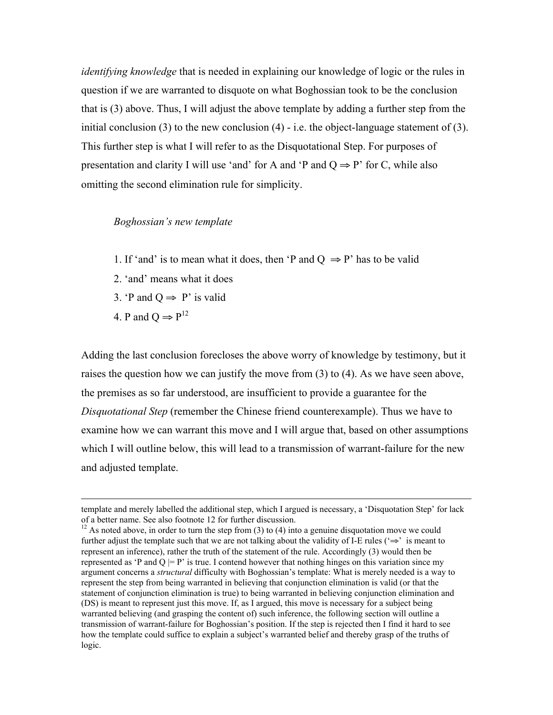*identifying knowledge* that is needed in explaining our knowledge of logic or the rules in question if we are warranted to disquote on what Boghossian took to be the conclusion that is (3) above. Thus, I will adjust the above template by adding a further step from the initial conclusion  $(3)$  to the new conclusion  $(4)$  - i.e. the object-language statement of  $(3)$ . This further step is what I will refer to as the Disquotational Step. For purposes of presentation and clarity I will use 'and' for A and 'P and  $Q \Rightarrow P'$  for C, while also omitting the second elimination rule for simplicity.

#### *Boghossian's new template*

- 1. If 'and' is to mean what it does, then 'P and  $Q \Rightarrow P$ ' has to be valid
- 2. 'and' means what it does
- 3. 'P and  $Q \Rightarrow P'$  is valid
- 4. P and  $Q \Rightarrow P^{12}$

 $\overline{a}$ 

Adding the last conclusion forecloses the above worry of knowledge by testimony, but it raises the question how we can justify the move from (3) to (4). As we have seen above, the premises as so far understood, are insufficient to provide a guarantee for the *Disquotational Step* (remember the Chinese friend counterexample). Thus we have to examine how we can warrant this move and I will argue that, based on other assumptions which I will outline below, this will lead to a transmission of warrant-failure for the new and adjusted template.

template and merely labelled the additional step, which I argued is necessary, a 'Disquotation Step' for lack of a better name. See also footnote 12 for further discussion.

 $12$  As noted above, in order to turn the step from (3) to (4) into a genuine disquotation move we could further adjust the template such that we are not talking about the validity of I-E rules ( $\Rightarrow$  is meant to represent an inference), rather the truth of the statement of the rule. Accordingly (3) would then be represented as 'P and  $Q = P$ ' is true. I contend however that nothing hinges on this variation since my argument concerns a *structural* difficulty with Boghossian's template: What is merely needed is a way to represent the step from being warranted in believing that conjunction elimination is valid (or that the statement of conjunction elimination is true) to being warranted in believing conjunction elimination and (DS) is meant to represent just this move. If, as I argued, this move is necessary for a subject being warranted believing (and grasping the content of) such inference, the following section will outline a transmission of warrant-failure for Boghossian's position. If the step is rejected then I find it hard to see how the template could suffice to explain a subject's warranted belief and thereby grasp of the truths of logic.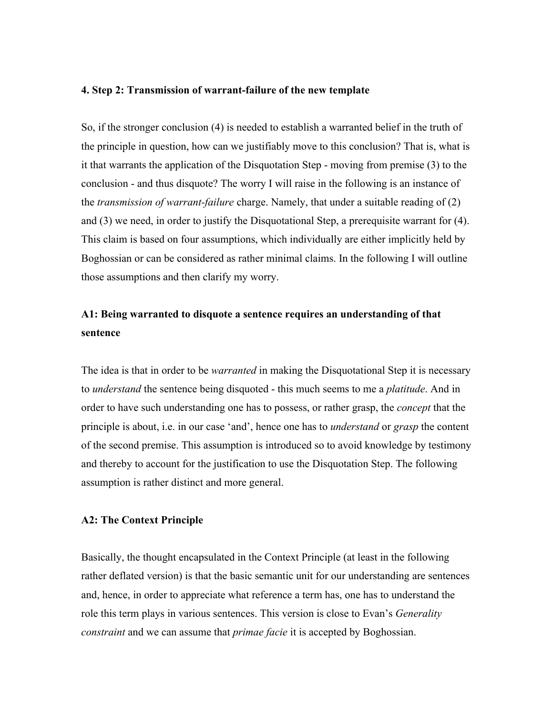#### 4. Step 2: Transmission of warrant-failure of the new template

So, if the stronger conclusion (4) is needed to establish a warranted belief in the truth of the principle in question, how can we justifiably move to this conclusion? That is, what is it that warrants the application of the Disquotation Step - moving from premise (3) to the conclusion - and thus disquote? The worry I will raise in the following is an instance of the *transmission of warrant-failure* charge. Namely, that under a suitable reading of (2) and (3) we need, in order to justify the Disquotational Step, a prerequisite warrant for (4). This claim is based on four assumptions, which individually are either implicitly held by Boghossian or can be considered as rather minimal claims. In the following I will outline those assumptions and then clarify my worry.

# A1: Being warranted to disquote a sentence requires an understanding of that sentence

The idea is that in order to be *warranted* in making the Disquotational Step it is necessary to *understand* the sentence being disquoted - this much seems to me a *platitude*. And in order to have such understanding one has to possess, or rather grasp, the *concept* that the principle is about, i.e. in our case 'and', hence one has to *understand* or *grasp* the content of the second premise. This assumption is introduced so to avoid knowledge by testimony and thereby to account for the justification to use the Disquotation Step. The following assumption is rather distinct and more general.

#### A2: The Context Principle

Basically, the thought encapsulated in the Context Principle (at least in the following rather deflated version) is that the basic semantic unit for our understanding are sentences and, hence, in order to appreciate what reference a term has, one has to understand the role this term plays in various sentences. This version is close to Evan's *Generality constraint* and we can assume that *primae facie* it is accepted by Boghossian.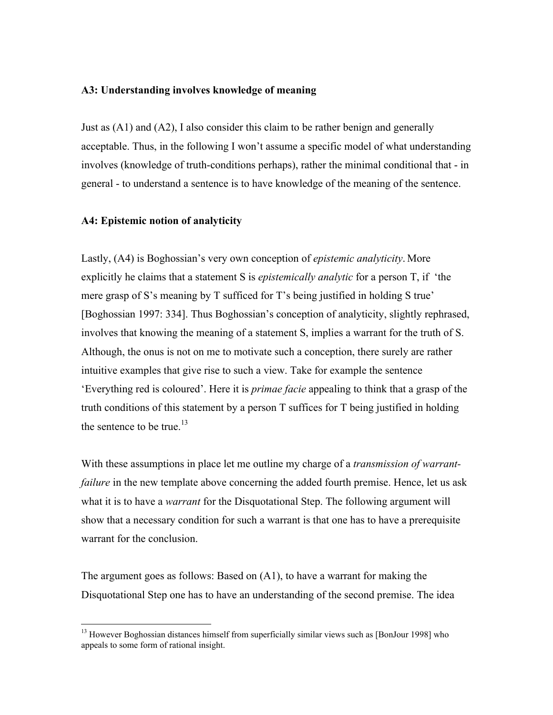# A3: Understanding involves knowledge of meaning

Just as (A1) and (A2), I also consider this claim to be rather benign and generally acceptable. Thus, in the following I won't assume a specific model of what understanding involves (knowledge of truth-conditions perhaps), rather the minimal conditional that - in general - to understand a sentence is to have knowledge of the meaning of the sentence.

## A4: Epistemic notion of analyticity

Lastly, (A4) is Boghossian's very own conception of *epistemic analyticity*. More explicitly he claims that a statement S is *epistemically analytic* for a person T, if 'the mere grasp of S's meaning by T sufficed for T's being justified in holding S true' [Boghossian 1997: 334]. Thus Boghossian's conception of analyticity, slightly rephrased, involves that knowing the meaning of a statement S, implies a warrant for the truth of S. Although, the onus is not on me to motivate such a conception, there surely are rather intuitive examples that give rise to such a view. Take for example the sentence 'Everything red is coloured'. Here it is *primae facie* appealing to think that a grasp of the truth conditions of this statement by a person T suffices for T being justified in holding the sentence to be true.<sup>13</sup>

With these assumptions in place let me outline my charge of a *transmission of warrantfailure* in the new template above concerning the added fourth premise. Hence, let us ask what it is to have a *warrant* for the Disquotational Step. The following argument will show that a necessary condition for such a warrant is that one has to have a prerequisite warrant for the conclusion.

The argument goes as follows: Based on (A1), to have a warrant for making the Disquotational Step one has to have an understanding of the second premise. The idea

<sup>&</sup>lt;sup>13</sup> However Boghossian distances himself from superficially similar views such as [BonJour 1998] who appeals to some form of rational insight.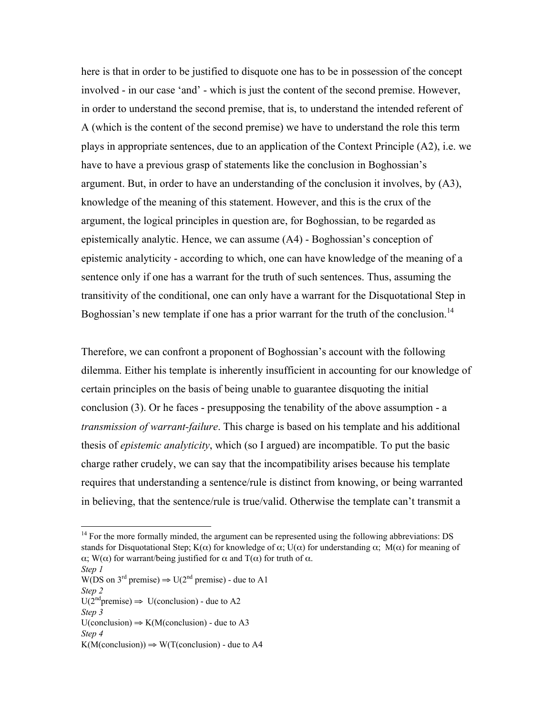here is that in order to be justified to disquote one has to be in possession of the concept involved - in our case 'and' - which is just the content of the second premise. However, in order to understand the second premise, that is, to understand the intended referent of A (which is the content of the second premise) we have to understand the role this term plays in appropriate sentences, due to an application of the Context Principle (A2), i.e. we have to have a previous grasp of statements like the conclusion in Boghossian's argument. But, in order to have an understanding of the conclusion it involves, by (A3), knowledge of the meaning of this statement. However, and this is the crux of the argument, the logical principles in question are, for Boghossian, to be regarded as epistemically analytic. Hence, we can assume (A4) - Boghossian's conception of epistemic analyticity - according to which, one can have knowledge of the meaning of a sentence only if one has a warrant for the truth of such sentences. Thus, assuming the transitivity of the conditional, one can only have a warrant for the Disquotational Step in Boghossian's new template if one has a prior warrant for the truth of the conclusion.<sup>14</sup>

Therefore, we can confront a proponent of Boghossian's account with the following dilemma. Either his template is inherently insufficient in accounting for our knowledge of certain principles on the basis of being unable to guarantee disquoting the initial conclusion (3). Or he faces - presupposing the tenability of the above assumption - a *transmission of warrant-failure*. This charge is based on his template and his additional thesis of *epistemic analyticity*, which (so I argued) are incompatible. To put the basic charge rather crudely, we can say that the incompatibility arises because his template requires that understanding a sentence/rule is distinct from knowing, or being warranted in believing, that the sentence/rule is true/valid. Otherwise the template can't transmit a

W(DS on 3<sup>rd</sup> premise)  $\Rightarrow U(2^{nd}$  premise) - due to A1

<sup>&</sup>lt;sup>14</sup> For the more formally minded, the argument can be represented using the following abbreviations: DS stands for Disquotational Step; K( $\alpha$ ) for knowledge of  $\alpha$ ; U( $\alpha$ ) for understanding  $\alpha$ ; M( $\alpha$ ) for meaning of α; W(α) for warrant/being justified for  $\alpha$  and  $T(\alpha)$  for truth of  $\alpha$ . *Step 1*

*Step 2*

 $U(2<sup>nd</sup>premise) \Rightarrow U(conclusion)$  - due to A2

*Step 3*

 $U$ (conclusion)  $\Rightarrow K$ (M(conclusion) - due to A3

*Step 4*

 $K(M(\text{conclusion})) \Rightarrow W(T(\text{conclusion}) - \text{due to A4})$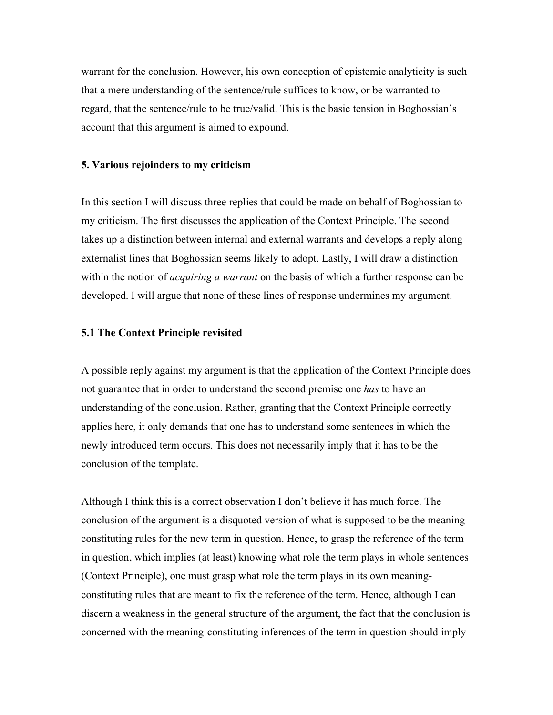warrant for the conclusion. However, his own conception of epistemic analyticity is such that a mere understanding of the sentence/rule suffices to know, or be warranted to regard, that the sentence/rule to be true/valid. This is the basic tension in Boghossian's account that this argument is aimed to expound.

## 5. Various rejoinders to my criticism

In this section I will discuss three replies that could be made on behalf of Boghossian to my criticism. The first discusses the application of the Context Principle. The second takes up a distinction between internal and external warrants and develops a reply along externalist lines that Boghossian seems likely to adopt. Lastly, I will draw a distinction within the notion of *acquiring a warrant* on the basis of which a further response can be developed. I will argue that none of these lines of response undermines my argument.

## 5.1 The Context Principle revisited

A possible reply against my argument is that the application of the Context Principle does not guarantee that in order to understand the second premise one *has* to have an understanding of the conclusion. Rather, granting that the Context Principle correctly applies here, it only demands that one has to understand some sentences in which the newly introduced term occurs. This does not necessarily imply that it has to be the conclusion of the template.

Although I think this is a correct observation I don't believe it has much force. The conclusion of the argument is a disquoted version of what is supposed to be the meaningconstituting rules for the new term in question. Hence, to grasp the reference of the term in question, which implies (at least) knowing what role the term plays in whole sentences (Context Principle), one must grasp what role the term plays in its own meaningconstituting rules that are meant to fix the reference of the term. Hence, although I can discern a weakness in the general structure of the argument, the fact that the conclusion is concerned with the meaning-constituting inferences of the term in question should imply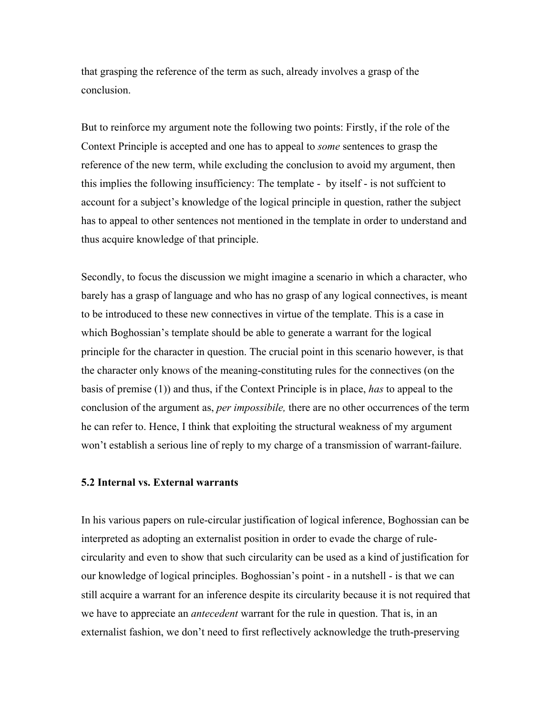that grasping the reference of the term as such, already involves a grasp of the conclusion.

But to reinforce my argument note the following two points: Firstly, if the role of the Context Principle is accepted and one has to appeal to *some* sentences to grasp the reference of the new term, while excluding the conclusion to avoid my argument, then this implies the following insufficiency: The template - by itself - is not suffcient to account for a subject's knowledge of the logical principle in question, rather the subject has to appeal to other sentences not mentioned in the template in order to understand and thus acquire knowledge of that principle.

Secondly, to focus the discussion we might imagine a scenario in which a character, who barely has a grasp of language and who has no grasp of any logical connectives, is meant to be introduced to these new connectives in virtue of the template. This is a case in which Boghossian's template should be able to generate a warrant for the logical principle for the character in question. The crucial point in this scenario however, is that the character only knows of the meaning-constituting rules for the connectives (on the basis of premise (1)) and thus, if the Context Principle is in place, *has* to appeal to the conclusion of the argument as, *per impossibile,* there are no other occurrences of the term he can refer to. Hence, I think that exploiting the structural weakness of my argument won't establish a serious line of reply to my charge of a transmission of warrant-failure.

# 5.2 Internal vs. External warrants

In his various papers on rule-circular justification of logical inference, Boghossian can be interpreted as adopting an externalist position in order to evade the charge of rulecircularity and even to show that such circularity can be used as a kind of justification for our knowledge of logical principles. Boghossian's point - in a nutshell - is that we can still acquire a warrant for an inference despite its circularity because it is not required that we have to appreciate an *antecedent* warrant for the rule in question. That is, in an externalist fashion, we don't need to first reflectively acknowledge the truth-preserving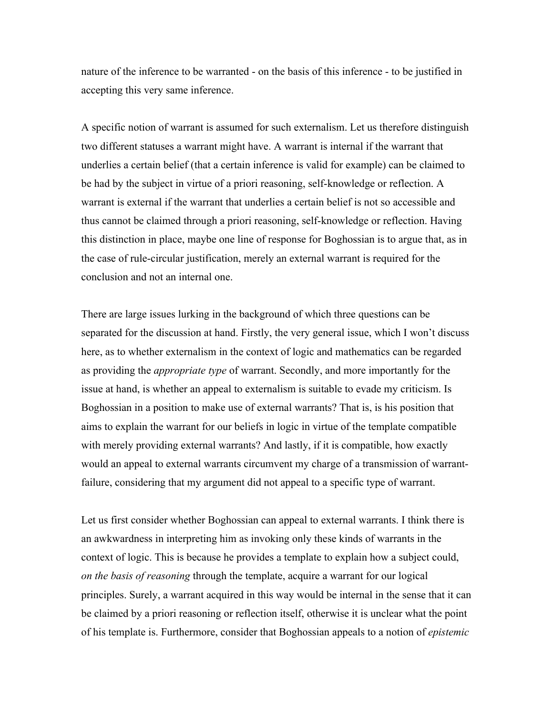nature of the inference to be warranted - on the basis of this inference - to be justified in accepting this very same inference.

A specific notion of warrant is assumed for such externalism. Let us therefore distinguish two different statuses a warrant might have. A warrant is internal if the warrant that underlies a certain belief (that a certain inference is valid for example) can be claimed to be had by the subject in virtue of a priori reasoning, self-knowledge or reflection. A warrant is external if the warrant that underlies a certain belief is not so accessible and thus cannot be claimed through a priori reasoning, self-knowledge or reflection. Having this distinction in place, maybe one line of response for Boghossian is to argue that, as in the case of rule-circular justification, merely an external warrant is required for the conclusion and not an internal one.

There are large issues lurking in the background of which three questions can be separated for the discussion at hand. Firstly, the very general issue, which I won't discuss here, as to whether externalism in the context of logic and mathematics can be regarded as providing the *appropriate type* of warrant. Secondly, and more importantly for the issue at hand, is whether an appeal to externalism is suitable to evade my criticism. Is Boghossian in a position to make use of external warrants? That is, is his position that aims to explain the warrant for our beliefs in logic in virtue of the template compatible with merely providing external warrants? And lastly, if it is compatible, how exactly would an appeal to external warrants circumvent my charge of a transmission of warrantfailure, considering that my argument did not appeal to a specific type of warrant.

Let us first consider whether Boghossian can appeal to external warrants. I think there is an awkwardness in interpreting him as invoking only these kinds of warrants in the context of logic. This is because he provides a template to explain how a subject could, *on the basis of reasoning* through the template, acquire a warrant for our logical principles. Surely, a warrant acquired in this way would be internal in the sense that it can be claimed by a priori reasoning or reflection itself, otherwise it is unclear what the point of his template is. Furthermore, consider that Boghossian appeals to a notion of *epistemic*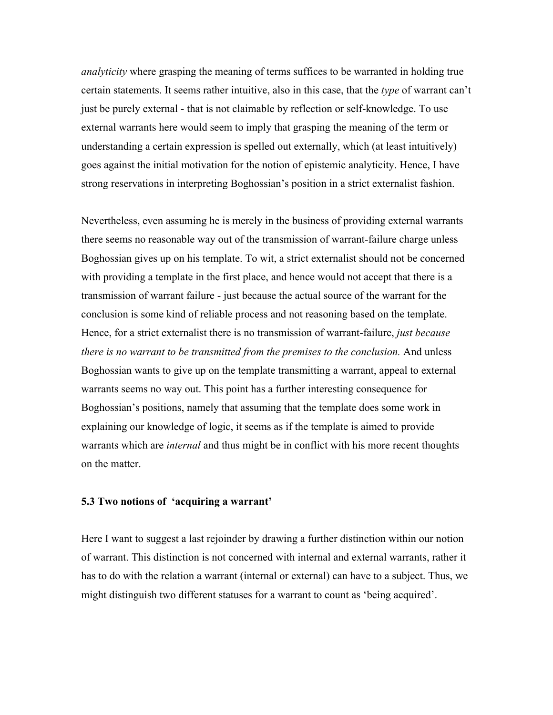*analyticity* where grasping the meaning of terms suffices to be warranted in holding true certain statements. It seems rather intuitive, also in this case, that the *type* of warrant can't just be purely external - that is not claimable by reflection or self-knowledge. To use external warrants here would seem to imply that grasping the meaning of the term or understanding a certain expression is spelled out externally, which (at least intuitively) goes against the initial motivation for the notion of epistemic analyticity. Hence, I have strong reservations in interpreting Boghossian's position in a strict externalist fashion.

Nevertheless, even assuming he is merely in the business of providing external warrants there seems no reasonable way out of the transmission of warrant-failure charge unless Boghossian gives up on his template. To wit, a strict externalist should not be concerned with providing a template in the first place, and hence would not accept that there is a transmission of warrant failure - just because the actual source of the warrant for the conclusion is some kind of reliable process and not reasoning based on the template. Hence, for a strict externalist there is no transmission of warrant-failure, *just because there is no warrant to be transmitted from the premises to the conclusion.* And unless Boghossian wants to give up on the template transmitting a warrant, appeal to external warrants seems no way out. This point has a further interesting consequence for Boghossian's positions, namely that assuming that the template does some work in explaining our knowledge of logic, it seems as if the template is aimed to provide warrants which are *internal* and thus might be in conflict with his more recent thoughts on the matter.

# 5.3 Two notions of 'acquiring a warrant'

Here I want to suggest a last rejoinder by drawing a further distinction within our notion of warrant. This distinction is not concerned with internal and external warrants, rather it has to do with the relation a warrant (internal or external) can have to a subject. Thus, we might distinguish two different statuses for a warrant to count as 'being acquired'.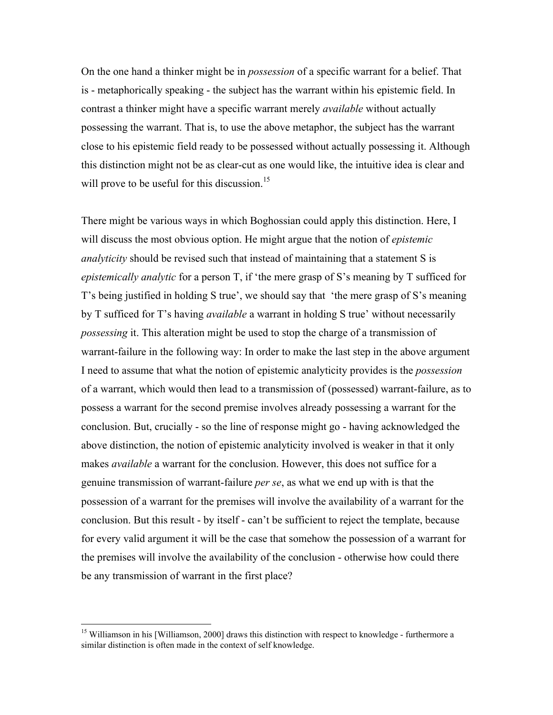On the one hand a thinker might be in *possession* of a specific warrant for a belief. That is - metaphorically speaking - the subject has the warrant within his epistemic field. In contrast a thinker might have a specific warrant merely *available* without actually possessing the warrant. That is, to use the above metaphor, the subject has the warrant close to his epistemic field ready to be possessed without actually possessing it. Although this distinction might not be as clear-cut as one would like, the intuitive idea is clear and will prove to be useful for this discussion.<sup>15</sup>

There might be various ways in which Boghossian could apply this distinction. Here, I will discuss the most obvious option. He might argue that the notion of *epistemic analyticity* should be revised such that instead of maintaining that a statement S is *epistemically analytic* for a person T, if 'the mere grasp of S's meaning by T sufficed for T's being justified in holding S true', we should say that 'the mere grasp of S's meaning by T sufficed for T's having *available* a warrant in holding S true' without necessarily *possessing* it. This alteration might be used to stop the charge of a transmission of warrant-failure in the following way: In order to make the last step in the above argument I need to assume that what the notion of epistemic analyticity provides is the *possession* of a warrant, which would then lead to a transmission of (possessed) warrant-failure, as to possess a warrant for the second premise involves already possessing a warrant for the conclusion. But, crucially - so the line of response might go - having acknowledged the above distinction, the notion of epistemic analyticity involved is weaker in that it only makes *available* a warrant for the conclusion. However, this does not suffice for a genuine transmission of warrant-failure *per se*, as what we end up with is that the possession of a warrant for the premises will involve the availability of a warrant for the conclusion. But this result - by itself - can't be sufficient to reject the template, because for every valid argument it will be the case that somehow the possession of a warrant for the premises will involve the availability of the conclusion - otherwise how could there be any transmission of warrant in the first place?

<sup>&</sup>lt;sup>15</sup> Williamson in his [Williamson, 2000] draws this distinction with respect to knowledge - furthermore a similar distinction is often made in the context of self knowledge.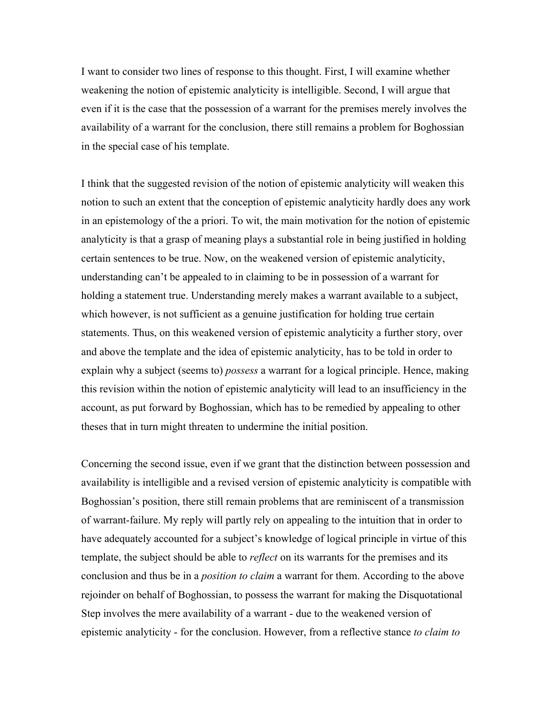I want to consider two lines of response to this thought. First, I will examine whether weakening the notion of epistemic analyticity is intelligible. Second, I will argue that even if it is the case that the possession of a warrant for the premises merely involves the availability of a warrant for the conclusion, there still remains a problem for Boghossian in the special case of his template.

I think that the suggested revision of the notion of epistemic analyticity will weaken this notion to such an extent that the conception of epistemic analyticity hardly does any work in an epistemology of the a priori. To wit, the main motivation for the notion of epistemic analyticity is that a grasp of meaning plays a substantial role in being justified in holding certain sentences to be true. Now, on the weakened version of epistemic analyticity, understanding can't be appealed to in claiming to be in possession of a warrant for holding a statement true. Understanding merely makes a warrant available to a subject, which however, is not sufficient as a genuine justification for holding true certain statements. Thus, on this weakened version of epistemic analyticity a further story, over and above the template and the idea of epistemic analyticity, has to be told in order to explain why a subject (seems to) *possess* a warrant for a logical principle. Hence, making this revision within the notion of epistemic analyticity will lead to an insufficiency in the account, as put forward by Boghossian, which has to be remedied by appealing to other theses that in turn might threaten to undermine the initial position.

Concerning the second issue, even if we grant that the distinction between possession and availability is intelligible and a revised version of epistemic analyticity is compatible with Boghossian's position, there still remain problems that are reminiscent of a transmission of warrant-failure. My reply will partly rely on appealing to the intuition that in order to have adequately accounted for a subject's knowledge of logical principle in virtue of this template, the subject should be able to *reflect* on its warrants for the premises and its conclusion and thus be in a *position to claim* a warrant for them. According to the above rejoinder on behalf of Boghossian, to possess the warrant for making the Disquotational Step involves the mere availability of a warrant - due to the weakened version of epistemic analyticity - for the conclusion. However, from a reflective stance *to claim to*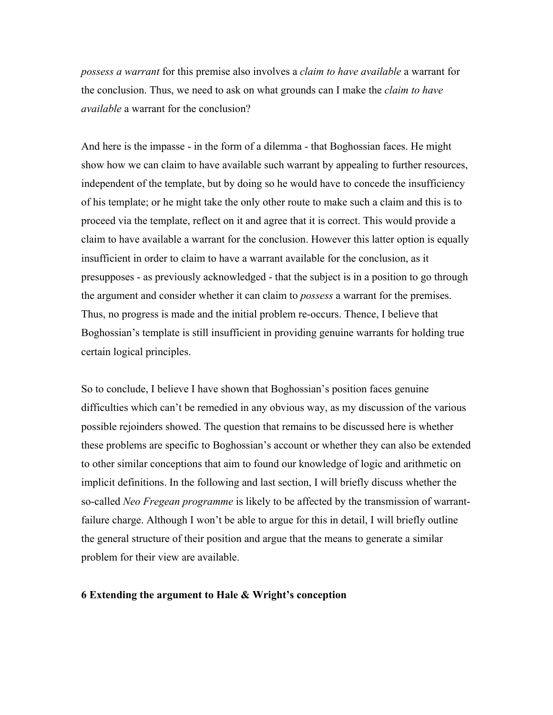*possess a warrant* for this premise also involves a *claim to have available* a warrant for the conclusion. Thus, we need to ask on what grounds can I make the *claim to have available* a warrant for the conclusion?

And here is the impasse - in the form of a dilemma - that Boghossian faces. He might show how we can claim to have available such warrant by appealing to further resources, independent of the template, but by doing so he would have to concede the insufficiency of his template; or he might take the only other route to make such a claim and this is to proceed via the template, reflect on it and agree that it is correct. This would provide a claim to have available a warrant for the conclusion. However this latter option is equally insufficient in order to claim to have a warrant available for the conclusion, as it presupposes - as previously acknowledged - that the subject is in a position to go through the argument and consider whether it can claim to *possess* a warrant for the premises. Thus, no progress is made and the initial problem re-occurs. Thence, I believe that Boghossian's template is still insufficient in providing genuine warrants for holding true certain logical principles.

So to conclude, I believe I have shown that Boghossian's position faces genuine difficulties which can't be remedied in any obvious way, as my discussion of the various possible rejoinders showed. The question that remains to be discussed here is whether these problems are specific to Boghossian's account or whether they can also be extended to other similar conceptions that aim to found our knowledge of logic and arithmetic on implicit definitions. In the following and last section, I will briefly discuss whether the so-called *Neo Fregean programme* is likely to be affected by the transmission of warrantfailure charge. Although I won't be able to argue for this in detail, I will briefly outline the general structure of their position and argue that the means to generate a similar problem for their view are available.

## 6 Extending the argument to Hale & Wright's conception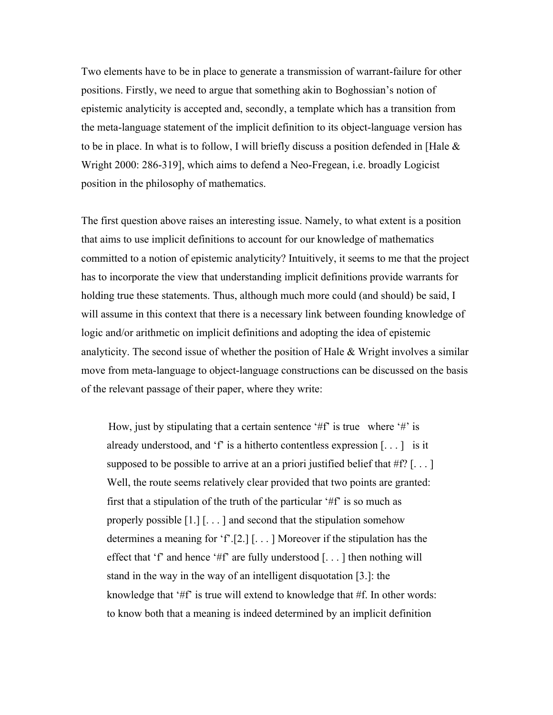Two elements have to be in place to generate a transmission of warrant-failure for other positions. Firstly, we need to argue that something akin to Boghossian's notion of epistemic analyticity is accepted and, secondly, a template which has a transition from the meta-language statement of the implicit definition to its object-language version has to be in place. In what is to follow, I will briefly discuss a position defended in [Hale & Wright 2000: 286-319], which aims to defend a Neo-Fregean, i.e. broadly Logicist position in the philosophy of mathematics.

The first question above raises an interesting issue. Namely, to what extent is a position that aims to use implicit definitions to account for our knowledge of mathematics committed to a notion of epistemic analyticity? Intuitively, it seems to me that the project has to incorporate the view that understanding implicit definitions provide warrants for holding true these statements. Thus, although much more could (and should) be said, I will assume in this context that there is a necessary link between founding knowledge of logic and/or arithmetic on implicit definitions and adopting the idea of epistemic analyticity. The second issue of whether the position of Hale  $&$  Wright involves a similar move from meta-language to object-language constructions can be discussed on the basis of the relevant passage of their paper, where they write:

How, just by stipulating that a certain sentence '#f' is true where '#' is already understood, and 'f' is a hitherto contentless expression [. . . ] is it supposed to be possible to arrive at an a priori justified belief that  $\#\{f\}$ . Well, the route seems relatively clear provided that two points are granted: first that a stipulation of the truth of the particular  $#f$  is so much as properly possible [1.] [. . . ] and second that the stipulation somehow determines a meaning for 'f'.[2.] [. . . ] Moreover if the stipulation has the effect that 'f' and hence '#f' are fully understood  $[\dots]$  then nothing will stand in the way in the way of an intelligent disquotation [3.]: the knowledge that '#f' is true will extend to knowledge that #f. In other words: to know both that a meaning is indeed determined by an implicit definition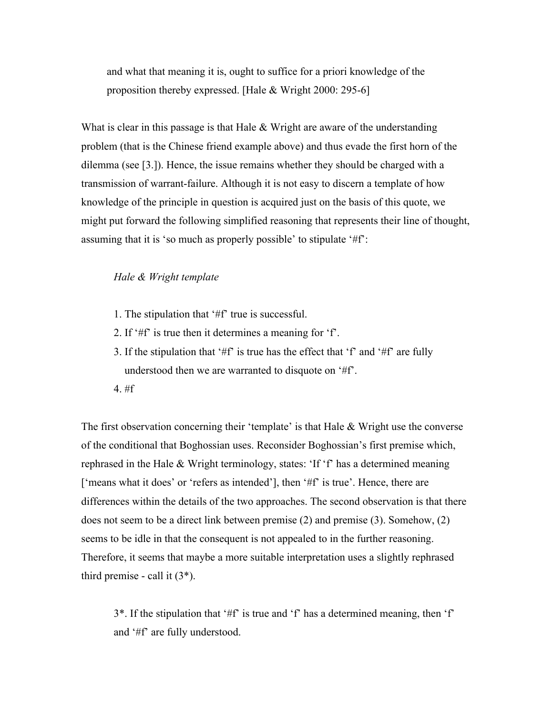and what that meaning it is, ought to suffice for a priori knowledge of the proposition thereby expressed. [Hale & Wright 2000: 295-6]

What is clear in this passage is that Hale & Wright are aware of the understanding problem (that is the Chinese friend example above) and thus evade the first horn of the dilemma (see [3.]). Hence, the issue remains whether they should be charged with a transmission of warrant-failure. Although it is not easy to discern a template of how knowledge of the principle in question is acquired just on the basis of this quote, we might put forward the following simplified reasoning that represents their line of thought, assuming that it is 'so much as properly possible' to stipulate '#f':

# *Hale & Wright template*

- 1. The stipulation that '#f' true is successful.
- 2. If '#f' is true then it determines a meaning for 'f'.
- 3. If the stipulation that '#f' is true has the effect that 'f' and '#f' are fully understood then we are warranted to disquote on '#f'.
- $4 \text{ } #f$

The first observation concerning their 'template' is that Hale & Wright use the converse of the conditional that Boghossian uses. Reconsider Boghossian's first premise which, rephrased in the Hale & Wright terminology, states: 'If 'f' has a determined meaning ['means what it does' or 'refers as intended'], then '#f' is true'. Hence, there are differences within the details of the two approaches. The second observation is that there does not seem to be a direct link between premise (2) and premise (3). Somehow, (2) seems to be idle in that the consequent is not appealed to in the further reasoning. Therefore, it seems that maybe a more suitable interpretation uses a slightly rephrased third premise - call it  $(3^*)$ .

3\*. If the stipulation that '#f' is true and 'f' has a determined meaning, then 'f' and '#f' are fully understood.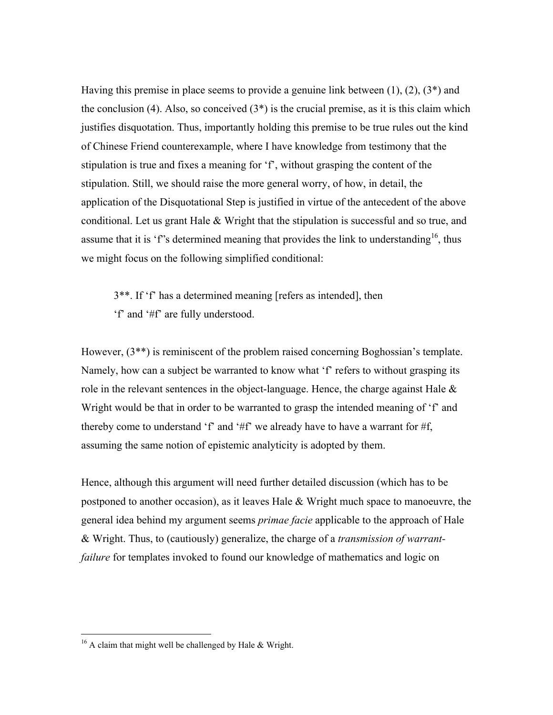Having this premise in place seems to provide a genuine link between  $(1)$ ,  $(2)$ ,  $(3^*)$  and the conclusion  $(4)$ . Also, so conceived  $(3^*)$  is the crucial premise, as it is this claim which justifies disquotation. Thus, importantly holding this premise to be true rules out the kind of Chinese Friend counterexample, where I have knowledge from testimony that the stipulation is true and fixes a meaning for 'f', without grasping the content of the stipulation. Still, we should raise the more general worry, of how, in detail, the application of the Disquotational Step is justified in virtue of the antecedent of the above conditional. Let us grant Hale & Wright that the stipulation is successful and so true, and assume that it is 'f's determined meaning that provides the link to understanding <sup>16</sup>, thus we might focus on the following simplified conditional:

3\*\*. If 'f' has a determined meaning [refers as intended], then 'f' and '#f' are fully understood.

However, (3\*\*) is reminiscent of the problem raised concerning Boghossian's template. Namely, how can a subject be warranted to know what 'f' refers to without grasping its role in the relevant sentences in the object-language. Hence, the charge against Hale  $\&$ Wright would be that in order to be warranted to grasp the intended meaning of 'f' and thereby come to understand 'f' and '#f' we already have to have a warrant for #f, assuming the same notion of epistemic analyticity is adopted by them.

Hence, although this argument will need further detailed discussion (which has to be postponed to another occasion), as it leaves Hale & Wright much space to manoeuvre, the general idea behind my argument seems *primae facie* applicable to the approach of Hale & Wright. Thus, to (cautiously) generalize, the charge of a *transmission of warrantfailure* for templates invoked to found our knowledge of mathematics and logic on

<sup>&</sup>lt;sup>16</sup> A claim that might well be challenged by Hale & Wright.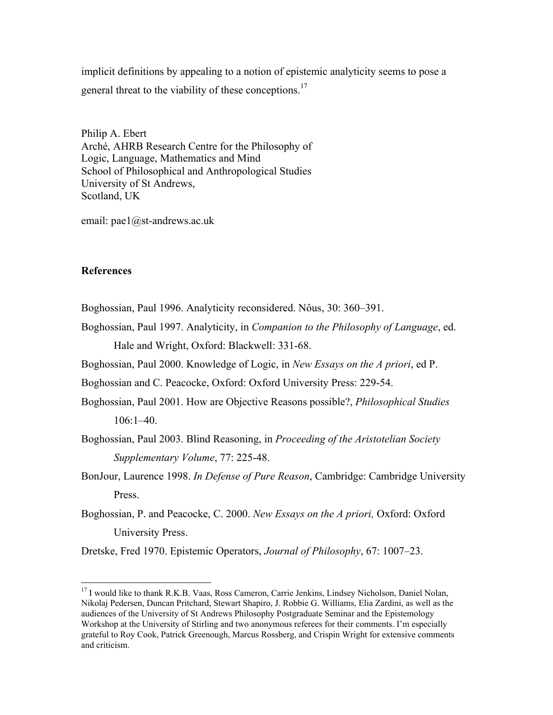implicit definitions by appealing to a notion of epistemic analyticity seems to pose a general threat to the viability of these conceptions.<sup>17</sup>

Philip A. Ebert Arché, AHRB Research Centre for the Philosophy of Logic, Language, Mathematics and Mind School of Philosophical and Anthropological Studies University of St Andrews, Scotland, UK

email: pae1@st-andrews.ac.uk

## References

Boghossian, Paul 1996. Analyticity reconsidered. Nôus, 30: 360–391.

Boghossian, Paul 1997. Analyticity, in *Companion to the Philosophy of Language*, ed. Hale and Wright, Oxford: Blackwell: 331-68.

Boghossian, Paul 2000. Knowledge of Logic, in *New Essays on the A priori*, ed P.

Boghossian and C. Peacocke, Oxford: Oxford University Press: 229-54.

- Boghossian, Paul 2001. How are Objective Reasons possible?, *Philosophical Studies* 106:1–40.
- Boghossian, Paul 2003. Blind Reasoning, in *Proceeding of the Aristotelian Society Supplementary Volume*, 77: 225-48.
- BonJour, Laurence 1998. *In Defense of Pure Reason*, Cambridge: Cambridge University Press.
- Boghossian, P. and Peacocke, C. 2000. *New Essays on the A priori,* Oxford: Oxford University Press.

Dretske, Fred 1970. Epistemic Operators, *Journal of Philosophy*, 67: 1007–23.

17 I would like to thank R.K.B. Vaas, Ross Cameron, Carrie Jenkins, Lindsey Nicholson, Daniel Nolan, Nikolaj Pedersen, Duncan Pritchard, Stewart Shapiro, J. Robbie G. Williams, Elia Zardini, as well as the audiences of the University of St Andrews Philosophy Postgraduate Seminar and the Epistemology Workshop at the University of Stirling and two anonymous referees for their comments. I'm especially grateful to Roy Cook, Patrick Greenough, Marcus Rossberg, and Crispin Wright for extensive comments and criticism.